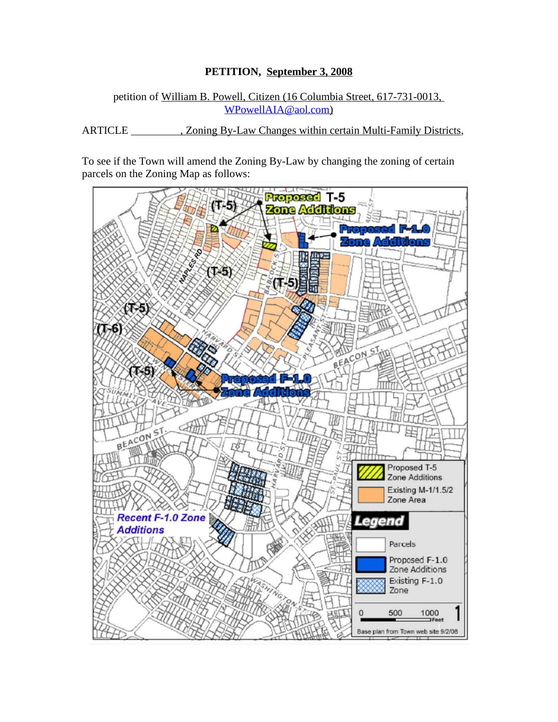## **PETITION, September 3, 2008**

#### petition of William B. Powell, Citizen (16 Columbia Street, 617-731-0013, [WPowellAIA@aol.com\)](mailto:WPowellAIA@aol.com)

ARTICLE , Zoning By-Law Changes within certain Multi-Family Districts,

To see if the Town will amend the Zoning By-Law by changing the zoning of certain parcels on the Zoning Map as follows:

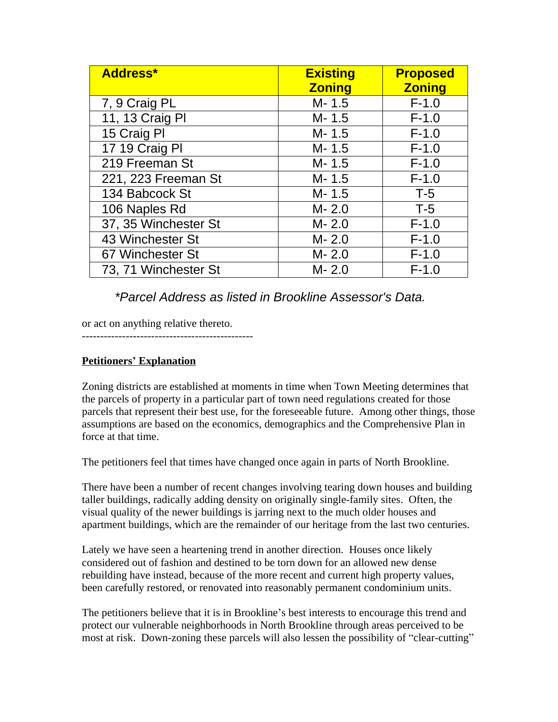| <b>Address*</b>      | <b>Existing</b><br><b>Zoning</b> | <b>Proposed</b><br><b>Zoning</b> |
|----------------------|----------------------------------|----------------------------------|
| 7, 9 Craig PL        | $M - 1.5$                        | $F-1.0$                          |
| 11, 13 Craig Pl      | $M - 1.5$                        | $F-1.0$                          |
| 15 Craig PI          | $M - 1.5$                        | $F-1.0$                          |
| 17 19 Craig Pl       | $M - 1.5$                        | $F-1.0$                          |
| 219 Freeman St       | $M - 1.5$                        | $F-1.0$                          |
| 221, 223 Freeman St  | $M - 1.5$                        | $F-1.0$                          |
| 134 Babcock St       | $M - 1.5$                        | $T-5$                            |
| 106 Naples Rd        | $M - 2.0$                        | $T-5$                            |
| 37, 35 Winchester St | $M - 2.0$                        | $F-1.0$                          |
| 43 Winchester St     | $M - 2.0$                        | $F-1.0$                          |
| 67 Winchester St     | $M - 2.0$                        | $F-1.0$                          |
| 73, 71 Winchester St | $M - 2.0$                        | $F-1.0$                          |

# *\*Parcel Address as listed in Brookline Assessor's Data.*

or act on anything relative thereto.

-----------------------------------------------

## **Petitioners' Explanation**

Zoning districts are established at moments in time when Town Meeting determines that the parcels of property in a particular part of town need regulations created for those parcels that represent their best use, for the foreseeable future. Among other things, those assumptions are based on the economics, demographics and the Comprehensive Plan in force at that time.

The petitioners feel that times have changed once again in parts of North Brookline.

There have been a number of recent changes involving tearing down houses and building taller buildings, radically adding density on originally single-family sites. Often, the visual quality of the newer buildings is jarring next to the much older houses and apartment buildings, which are the remainder of our heritage from the last two centuries.

Lately we have seen a heartening trend in another direction. Houses once likely considered out of fashion and destined to be torn down for an allowed new dense rebuilding have instead, because of the more recent and current high property values, been carefully restored, or renovated into reasonably permanent condominium units.

The petitioners believe that it is in Brookline's best interests to encourage this trend and protect our vulnerable neighborhoods in North Brookline through areas perceived to be most at risk. Down-zoning these parcels will also lessen the possibility of "clear-cutting"